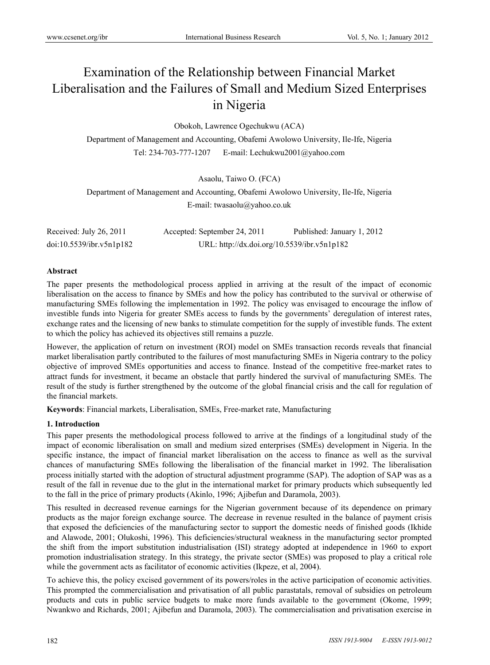# Examination of the Relationship between Financial Market Liberalisation and the Failures of Small and Medium Sized Enterprises in Nigeria

Obokoh, Lawrence Ogechukwu (ACA)

Department of Management and Accounting, Obafemi Awolowo University, Ile-Ife, Nigeria Tel: 234-703-777-1207 E-mail: Lechukwu2001@yahoo.com

Asaolu, Taiwo O. (FCA)

Department of Management and Accounting, Obafemi Awolowo University, Ile-Ife, Nigeria E-mail: twasaolu@yahoo.co.uk

| Received: July 26, 2011  | Accepted: September 24, 2011                | Published: January 1, 2012 |
|--------------------------|---------------------------------------------|----------------------------|
| doi:10.5539/ibr.v5n1p182 | URL: http://dx.doi.org/10.5539/ibr.v5n1p182 |                            |

# **Abstract**

The paper presents the methodological process applied in arriving at the result of the impact of economic liberalisation on the access to finance by SMEs and how the policy has contributed to the survival or otherwise of manufacturing SMEs following the implementation in 1992. The policy was envisaged to encourage the inflow of investible funds into Nigeria for greater SMEs access to funds by the governments' deregulation of interest rates, exchange rates and the licensing of new banks to stimulate competition for the supply of investible funds. The extent to which the policy has achieved its objectives still remains a puzzle.

However, the application of return on investment (ROI) model on SMEs transaction records reveals that financial market liberalisation partly contributed to the failures of most manufacturing SMEs in Nigeria contrary to the policy objective of improved SMEs opportunities and access to finance. Instead of the competitive free-market rates to attract funds for investment, it became an obstacle that partly hindered the survival of manufacturing SMEs. The result of the study is further strengthened by the outcome of the global financial crisis and the call for regulation of the financial markets.

**Keywords**: Financial markets, Liberalisation, SMEs, Free-market rate, Manufacturing

#### **1. Introduction**

This paper presents the methodological process followed to arrive at the findings of a longitudinal study of the impact of economic liberalisation on small and medium sized enterprises (SMEs) development in Nigeria. In the specific instance, the impact of financial market liberalisation on the access to finance as well as the survival chances of manufacturing SMEs following the liberalisation of the financial market in 1992. The liberalisation process initially started with the adoption of structural adjustment programme (SAP). The adoption of SAP was as a result of the fall in revenue due to the glut in the international market for primary products which subsequently led to the fall in the price of primary products (Akinlo, 1996; Ajibefun and Daramola, 2003).

This resulted in decreased revenue earnings for the Nigerian government because of its dependence on primary products as the major foreign exchange source. The decrease in revenue resulted in the balance of payment crisis that exposed the deficiencies of the manufacturing sector to support the domestic needs of finished goods (Ikhide and Alawode, 2001; Olukoshi, 1996). This deficiencies/structural weakness in the manufacturing sector prompted the shift from the import substitution industrialisation (ISI) strategy adopted at independence in 1960 to export promotion industrialisation strategy. In this strategy, the private sector (SMEs) was proposed to play a critical role while the government acts as facilitator of economic activities (Ikpeze, et al, 2004).

To achieve this, the policy excised government of its powers/roles in the active participation of economic activities. This prompted the commercialisation and privatisation of all public parastatals, removal of subsidies on petroleum products and cuts in public service budgets to make more funds available to the government (Okome, 1999; Nwankwo and Richards, 2001; Ajibefun and Daramola, 2003). The commercialisation and privatisation exercise in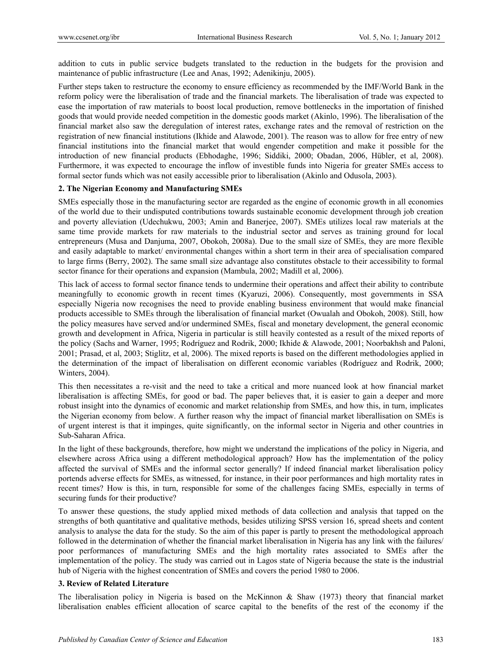addition to cuts in public service budgets translated to the reduction in the budgets for the provision and maintenance of public infrastructure (Lee and Anas, 1992; Adenikinju, 2005).

Further steps taken to restructure the economy to ensure efficiency as recommended by the IMF/World Bank in the reform policy were the liberalisation of trade and the financial markets. The liberalisation of trade was expected to ease the importation of raw materials to boost local production, remove bottlenecks in the importation of finished goods that would provide needed competition in the domestic goods market (Akinlo, 1996). The liberalisation of the financial market also saw the deregulation of interest rates, exchange rates and the removal of restriction on the registration of new financial institutions (Ikhide and Alawode, 2001). The reason was to allow for free entry of new financial institutions into the financial market that would engender competition and make it possible for the introduction of new financial products (Ebhodaghe, 1996; Siddiki, 2000; Obadan, 2006, Hübler, et al, 2008). Furthermore, it was expected to encourage the inflow of investible funds into Nigeria for greater SMEs access to formal sector funds which was not easily accessible prior to liberalisation (Akinlo and Odusola, 2003).

#### **2. The Nigerian Economy and Manufacturing SMEs**

SMEs especially those in the manufacturing sector are regarded as the engine of economic growth in all economies of the world due to their undisputed contributions towards sustainable economic development through job creation and poverty alleviation (Udechukwu, 2003; Amin and Banerjee, 2007). SMEs utilizes local raw materials at the same time provide markets for raw materials to the industrial sector and serves as training ground for local entrepreneurs (Musa and Danjuma, 2007, Obokoh, 2008a). Due to the small size of SMEs, they are more flexible and easily adaptable to market/ environmental changes within a short term in their area of specialisation compared to large firms (Berry, 2002). The same small size advantage also constitutes obstacle to their accessibility to formal sector finance for their operations and expansion (Mambula, 2002; Madill et al, 2006).

This lack of access to formal sector finance tends to undermine their operations and affect their ability to contribute meaningfully to economic growth in recent times (Kyaruzi, 2006). Consequently, most governments in SSA especially Nigeria now recognises the need to provide enabling business environment that would make financial products accessible to SMEs through the liberalisation of financial market (Owualah and Obokoh, 2008). Still, how the policy measures have served and/or undermined SMEs, fiscal and monetary development, the general economic growth and development in Africa, Nigeria in particular is still heavily contested as a result of the mixed reports of the policy (Sachs and Warner, 1995; Rodríguez and Rodrik, 2000; Ikhide & Alawode, 2001; Noorbakhsh and Paloni, 2001; Prasad, et al, 2003; Stiglitz, et al, 2006). The mixed reports is based on the different methodologies applied in the determination of the impact of liberalisation on different economic variables (Rodríguez and Rodrik, 2000; Winters, 2004).

This then necessitates a re-visit and the need to take a critical and more nuanced look at how financial market liberalisation is affecting SMEs, for good or bad. The paper believes that, it is easier to gain a deeper and more robust insight into the dynamics of economic and market relationship from SMEs, and how this, in turn, implicates the Nigerian economy from below. A further reason why the impact of financial market liberallisation on SMEs is of urgent interest is that it impinges, quite significantly, on the informal sector in Nigeria and other countries in Sub-Saharan Africa.

In the light of these backgrounds, therefore, how might we understand the implications of the policy in Nigeria, and elsewhere across Africa using a different methodological approach? How has the implementation of the policy affected the survival of SMEs and the informal sector generally? If indeed financial market liberalisation policy portends adverse effects for SMEs, as witnessed, for instance, in their poor performances and high mortality rates in recent times? How is this, in turn, responsible for some of the challenges facing SMEs, especially in terms of securing funds for their productive?

To answer these questions, the study applied mixed methods of data collection and analysis that tapped on the strengths of both quantitative and qualitative methods, besides utilizing SPSS version 16, spread sheets and content analysis to analyse the data for the study. So the aim of this paper is partly to present the methodological approach followed in the determination of whether the financial market liberalisation in Nigeria has any link with the failures/ poor performances of manufacturing SMEs and the high mortality rates associated to SMEs after the implementation of the policy. The study was carried out in Lagos state of Nigeria because the state is the industrial hub of Nigeria with the highest concentration of SMEs and covers the period 1980 to 2006.

### **3. Review of Related Literature**

The liberalisation policy in Nigeria is based on the McKinnon & Shaw (1973) theory that financial market liberalisation enables efficient allocation of scarce capital to the benefits of the rest of the economy if the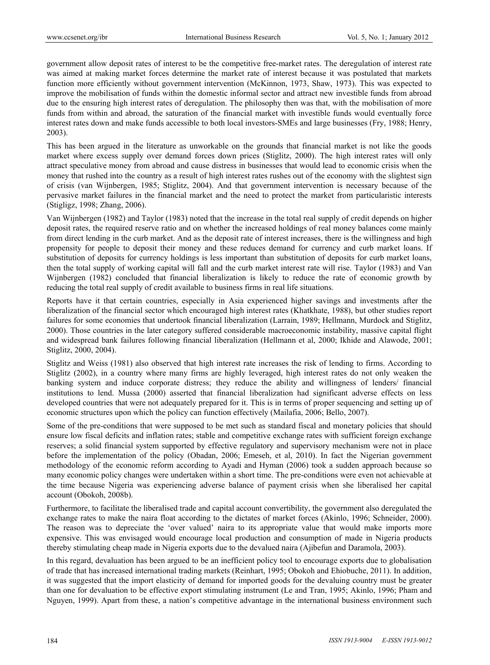government allow deposit rates of interest to be the competitive free-market rates. The deregulation of interest rate was aimed at making market forces determine the market rate of interest because it was postulated that markets function more efficiently without government intervention (McKinnon, 1973, Shaw, 1973). This was expected to improve the mobilisation of funds within the domestic informal sector and attract new investible funds from abroad due to the ensuring high interest rates of deregulation. The philosophy then was that, with the mobilisation of more funds from within and abroad, the saturation of the financial market with investible funds would eventually force interest rates down and make funds accessible to both local investors-SMEs and large businesses (Fry, 1988; Henry, 2003).

This has been argued in the literature as unworkable on the grounds that financial market is not like the goods market where excess supply over demand forces down prices (Stiglitz, 2000). The high interest rates will only attract speculative money from abroad and cause distress in businesses that would lead to economic crisis when the money that rushed into the country as a result of high interest rates rushes out of the economy with the slightest sign of crisis (van Wijnbergen, 1985; Stiglitz, 2004). And that government intervention is necessary because of the pervasive market failures in the financial market and the need to protect the market from particularistic interests (Stigligz, 1998; Zhang, 2006).

Van Wijnbergen (1982) and Taylor (1983) noted that the increase in the total real supply of credit depends on higher deposit rates, the required reserve ratio and on whether the increased holdings of real money balances come mainly from direct lending in the curb market. And as the deposit rate of interest increases, there is the willingness and high propensity for people to deposit their money and these reduces demand for currency and curb market loans. If substitution of deposits for currency holdings is less important than substitution of deposits for curb market loans, then the total supply of working capital will fall and the curb market interest rate will rise. Taylor (1983) and Van Wijnbergen (1982) concluded that financial liberalization is likely to reduce the rate of economic growth by reducing the total real supply of credit available to business firms in real life situations.

Reports have it that certain countries, especially in Asia experienced higher savings and investments after the liberalization of the financial sector which encouraged high interest rates (Khatkhate, 1988), but other studies report failures for some economies that undertook financial liberalization (Larrain, 1989; Hellmann, Murdock and Stiglitz, 2000). Those countries in the later category suffered considerable macroeconomic instability, massive capital flight and widespread bank failures following financial liberalization (Hellmann et al, 2000; Ikhide and Alawode, 2001; Stiglitz, 2000, 2004).

Stiglitz and Weiss (1981) also observed that high interest rate increases the risk of lending to firms. According to Stiglitz (2002), in a country where many firms are highly leveraged, high interest rates do not only weaken the banking system and induce corporate distress; they reduce the ability and willingness of lenders/ financial institutions to lend. Mussa (2000) asserted that financial liberalization had significant adverse effects on less developed countries that were not adequately prepared for it. This is in terms of proper sequencing and setting up of economic structures upon which the policy can function effectively (Mailafia, 2006; Bello, 2007).

Some of the pre-conditions that were supposed to be met such as standard fiscal and monetary policies that should ensure low fiscal deficits and inflation rates; stable and competitive exchange rates with sufficient foreign exchange reserves; a solid financial system supported by effective regulatory and supervisory mechanism were not in place before the implementation of the policy (Obadan, 2006; Emeseh, et al, 2010). In fact the Nigerian government methodology of the economic reform according to Ayadi and Hyman (2006) took a sudden approach because so many economic policy changes were undertaken within a short time. The pre-conditions were even not achievable at the time because Nigeria was experiencing adverse balance of payment crisis when she liberalised her capital account (Obokoh, 2008b).

Furthermore, to facilitate the liberalised trade and capital account convertibility, the government also deregulated the exchange rates to make the naira float according to the dictates of market forces (Akinlo, 1996; Schneider, 2000). The reason was to depreciate the 'over valued' naira to its appropriate value that would make imports more expensive. This was envisaged would encourage local production and consumption of made in Nigeria products thereby stimulating cheap made in Nigeria exports due to the devalued naira (Ajibefun and Daramola, 2003).

In this regard, devaluation has been argued to be an inefficient policy tool to encourage exports due to globalisation of trade that has increased international trading markets (Reinhart, 1995; Obokoh and Ehiobuche, 2011). In addition, it was suggested that the import elasticity of demand for imported goods for the devaluing country must be greater than one for devaluation to be effective export stimulating instrument (Le and Tran, 1995; Akinlo, 1996; Pham and Nguyen, 1999). Apart from these, a nation's competitive advantage in the international business environment such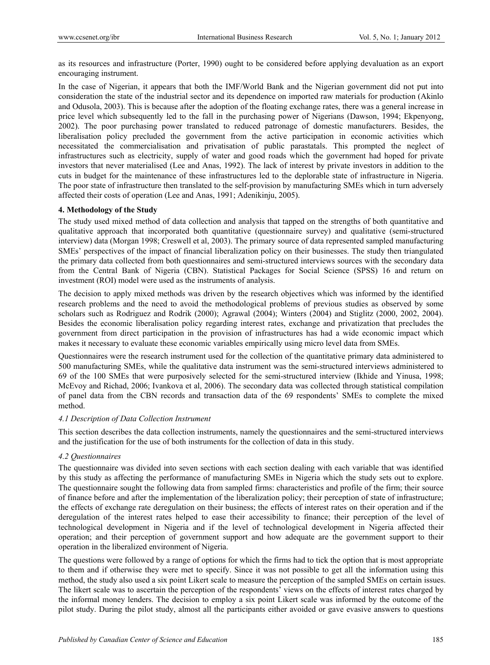as its resources and infrastructure (Porter, 1990) ought to be considered before applying devaluation as an export encouraging instrument.

In the case of Nigerian, it appears that both the IMF/World Bank and the Nigerian government did not put into consideration the state of the industrial sector and its dependence on imported raw materials for production (Akinlo and Odusola, 2003). This is because after the adoption of the floating exchange rates, there was a general increase in price level which subsequently led to the fall in the purchasing power of Nigerians (Dawson, 1994; Ekpenyong, 2002). The poor purchasing power translated to reduced patronage of domestic manufacturers. Besides, the liberalisation policy precluded the government from the active participation in economic activities which necessitated the commercialisation and privatisation of public parastatals. This prompted the neglect of infrastructures such as electricity, supply of water and good roads which the government had hoped for private investors that never materialised (Lee and Anas, 1992). The lack of interest by private investors in addition to the cuts in budget for the maintenance of these infrastructures led to the deplorable state of infrastructure in Nigeria. The poor state of infrastructure then translated to the self-provision by manufacturing SMEs which in turn adversely affected their costs of operation (Lee and Anas, 1991; Adenikinju, 2005).

# **4. Methodology of the Study**

The study used mixed method of data collection and analysis that tapped on the strengths of both quantitative and qualitative approach that incorporated both quantitative (questionnaire survey) and qualitative (semi-structured interview) data (Morgan 1998; Creswell et al, 2003). The primary source of data represented sampled manufacturing SMEs' perspectives of the impact of financial liberalization policy on their businesses. The study then triangulated the primary data collected from both questionnaires and semi-structured interviews sources with the secondary data from the Central Bank of Nigeria (CBN). Statistical Packages for Social Science (SPSS) 16 and return on investment (ROI) model were used as the instruments of analysis.

The decision to apply mixed methods was driven by the research objectives which was informed by the identified research problems and the need to avoid the methodological problems of previous studies as observed by some scholars such as Rodriguez and Rodrik (2000); Agrawal (2004); Winters (2004) and Stiglitz (2000, 2002, 2004). Besides the economic liberalisation policy regarding interest rates, exchange and privatization that precludes the government from direct participation in the provision of infrastructures has had a wide economic impact which makes it necessary to evaluate these economic variables empirically using micro level data from SMEs.

Questionnaires were the research instrument used for the collection of the quantitative primary data administered to 500 manufacturing SMEs, while the qualitative data instrument was the semi-structured interviews administered to 69 of the 100 SMEs that were purposively selected for the semi-structured interview (Ikhide and Yinusa, 1998; McEvoy and Richad, 2006; Ivankova et al, 2006). The secondary data was collected through statistical compilation of panel data from the CBN records and transaction data of the 69 respondents' SMEs to complete the mixed method.

#### *4.1 Description of Data Collection Instrument*

This section describes the data collection instruments, namely the questionnaires and the semi-structured interviews and the justification for the use of both instruments for the collection of data in this study.

# *4.2 Questionnaires*

The questionnaire was divided into seven sections with each section dealing with each variable that was identified by this study as affecting the performance of manufacturing SMEs in Nigeria which the study sets out to explore. The questionnaire sought the following data from sampled firms: characteristics and profile of the firm; their source of finance before and after the implementation of the liberalization policy; their perception of state of infrastructure; the effects of exchange rate deregulation on their business; the effects of interest rates on their operation and if the deregulation of the interest rates helped to ease their accessibility to finance; their perception of the level of technological development in Nigeria and if the level of technological development in Nigeria affected their operation; and their perception of government support and how adequate are the government support to their operation in the liberalized environment of Nigeria.

The questions were followed by a range of options for which the firms had to tick the option that is most appropriate to them and if otherwise they were met to specify. Since it was not possible to get all the information using this method, the study also used a six point Likert scale to measure the perception of the sampled SMEs on certain issues. The likert scale was to ascertain the perception of the respondents' views on the effects of interest rates charged by the informal money lenders. The decision to employ a six point Likert scale was informed by the outcome of the pilot study. During the pilot study, almost all the participants either avoided or gave evasive answers to questions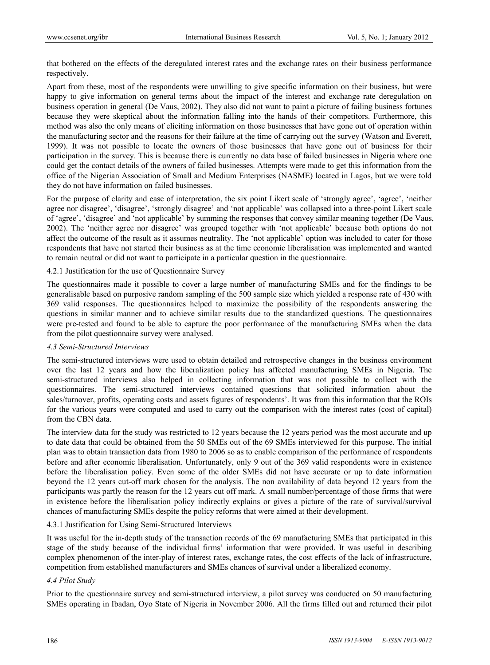that bothered on the effects of the deregulated interest rates and the exchange rates on their business performance respectively.

Apart from these, most of the respondents were unwilling to give specific information on their business, but were happy to give information on general terms about the impact of the interest and exchange rate deregulation on business operation in general (De Vaus, 2002). They also did not want to paint a picture of failing business fortunes because they were skeptical about the information falling into the hands of their competitors. Furthermore, this method was also the only means of eliciting information on those businesses that have gone out of operation within the manufacturing sector and the reasons for their failure at the time of carrying out the survey (Watson and Everett, 1999). It was not possible to locate the owners of those businesses that have gone out of business for their participation in the survey. This is because there is currently no data base of failed businesses in Nigeria where one could get the contact details of the owners of failed businesses. Attempts were made to get this information from the office of the Nigerian Association of Small and Medium Enterprises (NASME) located in Lagos, but we were told they do not have information on failed businesses.

For the purpose of clarity and ease of interpretation, the six point Likert scale of 'strongly agree', 'agree', 'neither agree nor disagree', 'disagree', 'strongly disagree' and 'not applicable' was collapsed into a three-point Likert scale of 'agree', 'disagree' and 'not applicable' by summing the responses that convey similar meaning together (De Vaus, 2002). The 'neither agree nor disagree' was grouped together with 'not applicable' because both options do not affect the outcome of the result as it assumes neutrality. The 'not applicable' option was included to cater for those respondents that have not started their business as at the time economic liberalisation was implemented and wanted to remain neutral or did not want to participate in a particular question in the questionnaire.

#### 4.2.1 Justification for the use of Questionnaire Survey

The questionnaires made it possible to cover a large number of manufacturing SMEs and for the findings to be generalisable based on purposive random sampling of the 500 sample size which yielded a response rate of 430 with 369 valid responses. The questionnaires helped to maximize the possibility of the respondents answering the questions in similar manner and to achieve similar results due to the standardized questions. The questionnaires were pre-tested and found to be able to capture the poor performance of the manufacturing SMEs when the data from the pilot questionnaire survey were analysed.

#### *4.3 Semi-Structured Interviews*

The semi-structured interviews were used to obtain detailed and retrospective changes in the business environment over the last 12 years and how the liberalization policy has affected manufacturing SMEs in Nigeria. The semi-structured interviews also helped in collecting information that was not possible to collect with the questionnaires. The semi-structured interviews contained questions that solicited information about the sales/turnover, profits, operating costs and assets figures of respondents'. It was from this information that the ROIs for the various years were computed and used to carry out the comparison with the interest rates (cost of capital) from the CBN data.

The interview data for the study was restricted to 12 years because the 12 years period was the most accurate and up to date data that could be obtained from the 50 SMEs out of the 69 SMEs interviewed for this purpose. The initial plan was to obtain transaction data from 1980 to 2006 so as to enable comparison of the performance of respondents before and after economic liberalisation. Unfortunately, only 9 out of the 369 valid respondents were in existence before the liberalisation policy. Even some of the older SMEs did not have accurate or up to date information beyond the 12 years cut-off mark chosen for the analysis. The non availability of data beyond 12 years from the participants was partly the reason for the 12 years cut off mark. A small number/percentage of those firms that were in existence before the liberalisation policy indirectly explains or gives a picture of the rate of survival/survival chances of manufacturing SMEs despite the policy reforms that were aimed at their development.

#### 4.3.1 Justification for Using Semi-Structured Interviews

It was useful for the in-depth study of the transaction records of the 69 manufacturing SMEs that participated in this stage of the study because of the individual firms' information that were provided. It was useful in describing complex phenomenon of the inter-play of interest rates, exchange rates, the cost effects of the lack of infrastructure, competition from established manufacturers and SMEs chances of survival under a liberalized economy.

#### *4.4 Pilot Study*

Prior to the questionnaire survey and semi-structured interview, a pilot survey was conducted on 50 manufacturing SMEs operating in Ibadan, Oyo State of Nigeria in November 2006. All the firms filled out and returned their pilot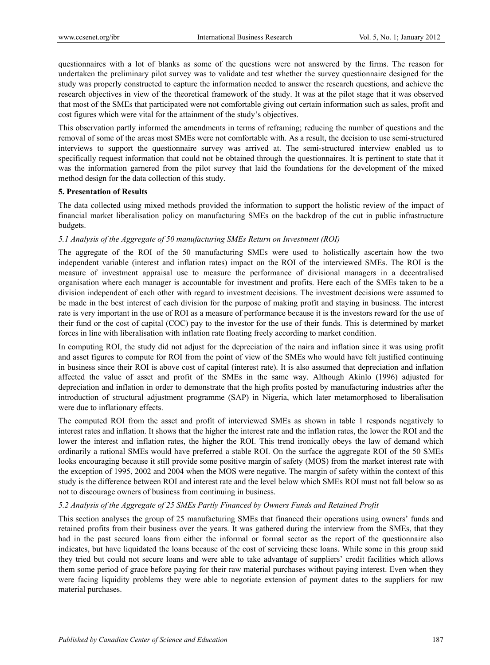questionnaires with a lot of blanks as some of the questions were not answered by the firms. The reason for undertaken the preliminary pilot survey was to validate and test whether the survey questionnaire designed for the study was properly constructed to capture the information needed to answer the research questions, and achieve the research objectives in view of the theoretical framework of the study. It was at the pilot stage that it was observed that most of the SMEs that participated were not comfortable giving out certain information such as sales, profit and cost figures which were vital for the attainment of the study's objectives.

This observation partly informed the amendments in terms of reframing; reducing the number of questions and the removal of some of the areas most SMEs were not comfortable with. As a result, the decision to use semi-structured interviews to support the questionnaire survey was arrived at. The semi-structured interview enabled us to specifically request information that could not be obtained through the questionnaires. It is pertinent to state that it was the information garnered from the pilot survey that laid the foundations for the development of the mixed method design for the data collection of this study.

#### **5. Presentation of Results**

The data collected using mixed methods provided the information to support the holistic review of the impact of financial market liberalisation policy on manufacturing SMEs on the backdrop of the cut in public infrastructure budgets.

# *5.1 Analysis of the Aggregate of 50 manufacturing SMEs Return on Investment (ROI)*

The aggregate of the ROI of the 50 manufacturing SMEs were used to holistically ascertain how the two independent variable (interest and inflation rates) impact on the ROI of the interviewed SMEs. The ROI is the measure of investment appraisal use to measure the performance of divisional managers in a decentralised organisation where each manager is accountable for investment and profits. Here each of the SMEs taken to be a division independent of each other with regard to investment decisions. The investment decisions were assumed to be made in the best interest of each division for the purpose of making profit and staying in business. The interest rate is very important in the use of ROI as a measure of performance because it is the investors reward for the use of their fund or the cost of capital (COC) pay to the investor for the use of their funds. This is determined by market forces in line with liberalisation with inflation rate floating freely according to market condition.

In computing ROI, the study did not adjust for the depreciation of the naira and inflation since it was using profit and asset figures to compute for ROI from the point of view of the SMEs who would have felt justified continuing in business since their ROI is above cost of capital (interest rate). It is also assumed that depreciation and inflation affected the value of asset and profit of the SMEs in the same way. Although Akinlo (1996) adjusted for depreciation and inflation in order to demonstrate that the high profits posted by manufacturing industries after the introduction of structural adjustment programme (SAP) in Nigeria, which later metamorphosed to liberalisation were due to inflationary effects.

The computed ROI from the asset and profit of interviewed SMEs as shown in table 1 responds negatively to interest rates and inflation. It shows that the higher the interest rate and the inflation rates, the lower the ROI and the lower the interest and inflation rates, the higher the ROI. This trend ironically obeys the law of demand which ordinarily a rational SMEs would have preferred a stable ROI. On the surface the aggregate ROI of the 50 SMEs looks encouraging because it still provide some positive margin of safety (MOS) from the market interest rate with the exception of 1995, 2002 and 2004 when the MOS were negative. The margin of safety within the context of this study is the difference between ROI and interest rate and the level below which SMEs ROI must not fall below so as not to discourage owners of business from continuing in business.

# *5.2 Analysis of the Aggregate of 25 SMEs Partly Financed by Owners Funds and Retained Profit*

This section analyses the group of 25 manufacturing SMEs that financed their operations using owners' funds and retained profits from their business over the years. It was gathered during the interview from the SMEs, that they had in the past secured loans from either the informal or formal sector as the report of the questionnaire also indicates, but have liquidated the loans because of the cost of servicing these loans. While some in this group said they tried but could not secure loans and were able to take advantage of suppliers' credit facilities which allows them some period of grace before paying for their raw material purchases without paying interest. Even when they were facing liquidity problems they were able to negotiate extension of payment dates to the suppliers for raw material purchases.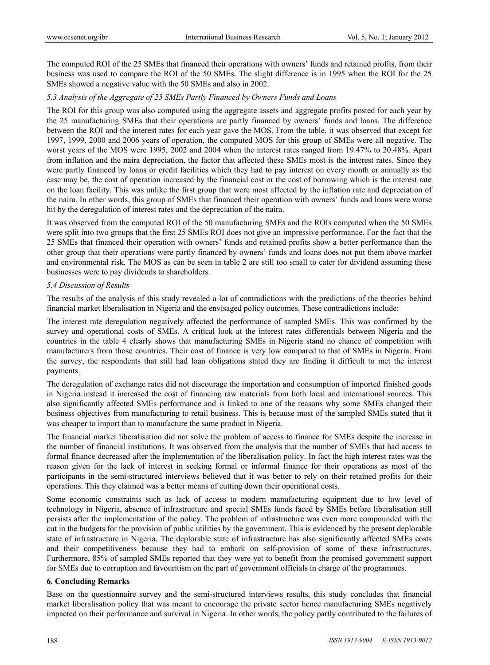The computed ROI of the 25 SMEs that financed their operations with owners' funds and retained profits, from their business was used to compare the ROI of the 50 SMEs. The slight difference is in 1995 when the ROI for the 25 SMEs showed a negative value with the 50 SMEs and also in 2002.

#### *5.3 Analysis of the Aggregate of 25 SMEs Partly Financed by Owners Funds and Loans*

The ROI for this group was also computed using the aggregate assets and aggregate profits posted for each year by the 25 manufacturing SMEs that their operations are partly financed by owners' funds and loans. The difference between the ROI and the interest rates for each year gave the MOS. From the table, it was observed that except for 1997, 1999, 2000 and 2006 years of operation, the computed MOS for this group of SMEs were all negative. The worst years of the MOS were 1995, 2002 and 2004 when the interest rates ranged from 19.47% to 20.48%. Apart from inflation and the naira depreciation, the factor that affected these SMEs most is the interest rates. Since they were partly financed by loans or credit facilities which they had to pay interest on every month or annually as the case may be, the cost of operation increased by the financial cost or the cost of borrowing which is the interest rate on the loan facility. This was unlike the first group that were most affected by the inflation rate and depreciation of the naira. In other words, this group of SMEs that financed their operation with owners' funds and loans were worse hit by the deregulation of interest rates and the depreciation of the naira.

It was observed from the computed ROI of the 50 manufacturing SMEs and the ROIs computed when the 50 SMEs were split into two groups that the first 25 SMEs ROI does not give an impressive performance. For the fact that the 25 SMEs that financed their operation with owners' funds and retained profits show a better performance than the other group that their operations were partly financed by owners' funds and loans does not put them above market and environmental risk. The MOS as can be seen in table 2 are still too small to cater for dividend assuming these businesses were to pay dividends to shareholders.

# *5.4 Discussion of Results*

The results of the analysis of this study revealed a lot of contradictions with the predictions of the theories behind financial market liberalisation in Nigeria and the envisaged policy outcomes. These contradictions include:

The interest rate deregulation negatively affected the performance of sampled SMEs. This was confirmed by the survey and operational costs of SMEs. A critical look at the interest rates differentials between Nigeria and the countries in the table 4 clearly shows that manufacturing SMEs in Nigeria stand no chance of competition with manufacturers from those countries. Their cost of finance is very low compared to that of SMEs in Nigeria. From the survey, the respondents that still had loan obligations stated they are finding it difficult to met the interest payments.

The deregulation of exchange rates did not discourage the importation and consumption of imported finished goods in Nigeria instead it increased the cost of financing raw materials from both local and international sources. This also significantly affected SMEs performance and is linked to one of the reasons why some SMEs changed their business objectives from manufacturing to retail business. This is because most of the sampled SMEs stated that it was cheaper to import than to manufacture the same product in Nigeria.

The financial market liberalisation did not solve the problem of access to finance for SMEs despite the increase in the number of financial institutions. It was observed from the analysis that the number of SMEs that had access to formal finance decreased after the implementation of the liberalisation policy. In fact the high interest rates was the reason given for the lack of interest in seeking formal or informal finance for their operations as most of the participants in the semi-structured interviews believed that it was better to rely on their retained profits for their operations. This they claimed was a better means of cutting down their operational costs.

Some economic constraints such as lack of access to modern manufacturing equipment due to low level of technology in Nigeria, absence of infrastructure and special SMEs funds faced by SMEs before liberalisation still persists after the implementation of the policy. The problem of infrastructure was even more compounded with the cut in the budgets for the provision of public utilities by the government. This is evidenced by the present deplorable state of infrastructure in Nigeria. The deplorable state of infrastructure has also significantly affected SMEs costs and their competitiveness because they had to embark on self-provision of some of these infrastructures. Furthermore, 85% of sampled SMEs reported that they were yet to benefit from the promised government support for SMEs due to corruption and favouritism on the part of government officials in charge of the programmes.

#### **6. Concluding Remarks**

Base on the questionnaire survey and the semi-structured interviews results, this study concludes that financial market liberalisation policy that was meant to encourage the private sector hence manufacturing SMEs negatively impacted on their performance and survival in Nigeria. In other words, the policy partly contributed to the failures of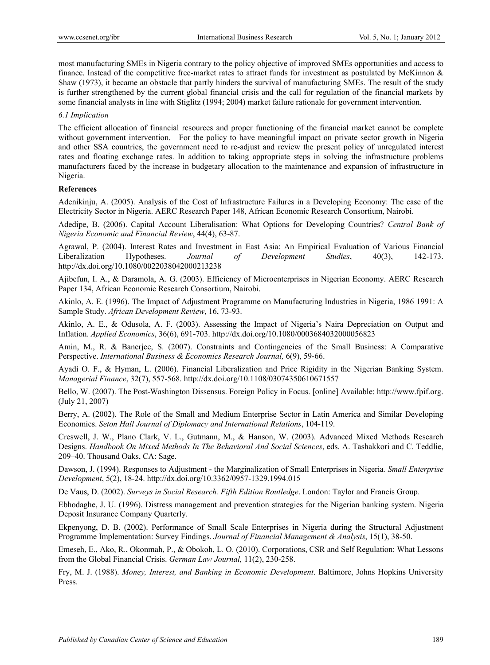most manufacturing SMEs in Nigeria contrary to the policy objective of improved SMEs opportunities and access to finance. Instead of the competitive free-market rates to attract funds for investment as postulated by McKinnon & Shaw (1973), it became an obstacle that partly hinders the survival of manufacturing SMEs. The result of the study is further strengthened by the current global financial crisis and the call for regulation of the financial markets by some financial analysts in line with Stiglitz (1994; 2004) market failure rationale for government intervention.

#### *6.1 Implication*

The efficient allocation of financial resources and proper functioning of the financial market cannot be complete without government intervention. For the policy to have meaningful impact on private sector growth in Nigeria and other SSA countries, the government need to re-adjust and review the present policy of unregulated interest rates and floating exchange rates. In addition to taking appropriate steps in solving the infrastructure problems manufacturers faced by the increase in budgetary allocation to the maintenance and expansion of infrastructure in Nigeria.

# **References**

Adenikinju, A. (2005). Analysis of the Cost of Infrastructure Failures in a Developing Economy: The case of the Electricity Sector in Nigeria. AERC Research Paper 148, African Economic Research Consortium, Nairobi.

Adedipe, B. (2006). Capital Account Liberalisation: What Options for Developing Countries? *Central Bank of Nigeria Economic and Financial Review*, 44(4), 63-87.

Agrawal, P. (2004). Interest Rates and Investment in East Asia: An Empirical Evaluation of Various Financial Liberalization Hypotheses. *Journal of Development Studies*, 40(3), 142-173. http://dx.doi.org/10.1080/0022038042000213238

Ajibefun, I. A., & Daramola, A. G. (2003). Efficiency of Microenterprises in Nigerian Economy. AERC Research Paper 134, African Economic Research Consortium, Nairobi.

Akinlo, A. E. (1996). The Impact of Adjustment Programme on Manufacturing Industries in Nigeria, 1986 1991: A Sample Study. *African Development Review*, 16, 73-93.

Akinlo, A. E., & Odusola, A. F. (2003). Assessing the Impact of Nigeria's Naira Depreciation on Output and Inflation. *Applied Economics*, 36(6), 691-703. http://dx.doi.org/10.1080/0003684032000056823

Amin, M., R. & Banerjee, S. (2007). Constraints and Contingencies of the Small Business: A Comparative Perspective. *International Business & Economics Research Journal,* 6(9), 59-66.

Ayadi O. F., & Hyman, L. (2006). Financial Liberalization and Price Rigidity in the Nigerian Banking System. *Managerial Finance*, 32(7), 557-568. http://dx.doi.org/10.1108/03074350610671557

Bello, W. (2007). The Post-Washington Dissensus. Foreign Policy in Focus. [online] Available: http://www.fpif.org. (July 21, 2007)

Berry, A. (2002). The Role of the Small and Medium Enterprise Sector in Latin America and Similar Developing Economies. *Seton Hall Journal of Diplomacy and International Relations*, 104-119.

Creswell, J. W., Plano Clark, V. L., Gutmann, M., & Hanson, W. (2003). Advanced Mixed Methods Research Designs. *Handbook On Mixed Methods In The Behavioral And Social Sciences*, eds. A. Tashakkori and C. Teddlie, 209–40. Thousand Oaks, CA: Sage.

Dawson, J. (1994). Responses to Adjustment - the Marginalization of Small Enterprises in Nigeria*. Small Enterprise Development*, 5(2), 18-24. http://dx.doi.org/10.3362/0957-1329.1994.015

De Vaus, D. (2002). *Surveys in Social Research. Fifth Edition Routledge*. London: Taylor and Francis Group.

Ebhodaghe, J. U. (1996). Distress management and prevention strategies for the Nigerian banking system. Nigeria Deposit Insurance Company Quarterly.

Ekpenyong, D. B. (2002). Performance of Small Scale Enterprises in Nigeria during the Structural Adjustment Programme Implementation: Survey Findings. *Journal of Financial Management & Analysis*, 15(1), 38-50.

Emeseh, E., Ako, R., Okonmah, P., & Obokoh, L. O. (2010). Corporations, CSR and Self Regulation: What Lessons from the Global Financial Crisis. *German Law Journal,* 11(2), 230-258.

Fry, M. J. (1988). *Money, Interest, and Banking in Economic Development*. Baltimore, Johns Hopkins University Press.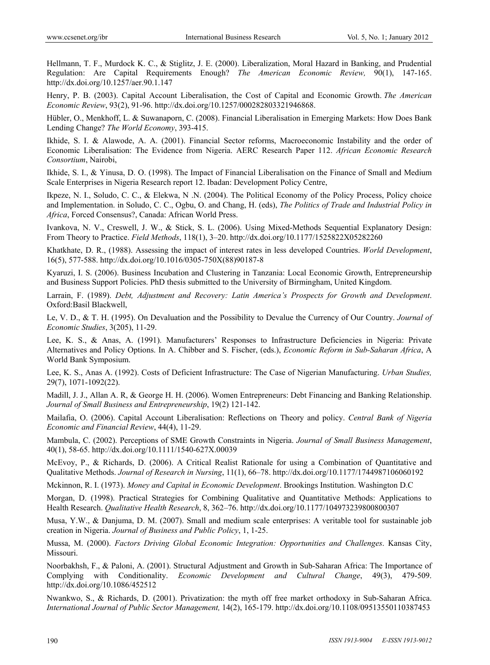Hellmann, T. F., Murdock K. C., & Stiglitz, J. E. (2000). Liberalization, Moral Hazard in Banking, and Prudential Regulation: Are Capital Requirements Enough? *The American Economic Review,* 90(1), 147-165. http://dx.doi.org/10.1257/aer.90.1.147

Henry, P. B. (2003). Capital Account Liberalisation, the Cost of Capital and Economic Growth. *The American Economic Review*, 93(2), 91-96. http://dx.doi.org/10.1257/000282803321946868.

Hübler, O., Menkhoff, L. & Suwanaporn, C. (2008). Financial Liberalisation in Emerging Markets: How Does Bank Lending Change? *The World Economy*, 393-415.

Ikhide, S. I. & Alawode, A. A. (2001). Financial Sector reforms, Macroeconomic Instability and the order of Economic Liberalisation: The Evidence from Nigeria. AERC Research Paper 112. *African Economic Research Consortium*, Nairobi,

Ikhide, S. I., & Yinusa, D. O. (1998). The Impact of Financial Liberalisation on the Finance of Small and Medium Scale Enterprises in Nigeria Research report 12. Ibadan: Development Policy Centre,

Ikpeze, N. I., Soludo, C. C., & Elekwa, N .N. (2004). The Political Economy of the Policy Process, Policy choice and Implementation. in Soludo, C. C., Ogbu, O. and Chang, H. (eds), *The Politics of Trade and Industrial Policy in Africa*, Forced Consensus?, Canada: African World Press.

Ivankova, N. V., Creswell, J. W., & Stick, S. L. (2006). Using Mixed-Methods Sequential Explanatory Design: From Theory to Practice. *Field Methods*, 118(1), 3–20. http://dx.doi.org/10.1177/1525822X05282260

Khatkhate, D. R., (1988). Assessing the impact of interest rates in less developed Countries. *World Development*, 16(5), 577-588. http://dx.doi.org/10.1016/0305-750X(88)90187-8

Kyaruzi, I. S. (2006). Business Incubation and Clustering in Tanzania: Local Economic Growth, Entrepreneurship and Business Support Policies. PhD thesis submitted to the University of Birmingham, United Kingdom.

Larrain, F. (1989). *Debt, Adjustment and Recovery: Latin America's Prospects for Growth and Development*. Oxford:Basil Blackwell,

Le, V. D., & T. H. (1995). On Devaluation and the Possibility to Devalue the Currency of Our Country. *Journal of Economic Studies*, 3(205), 11-29.

Lee, K. S., & Anas, A. (1991). Manufacturers' Responses to Infrastructure Deficiencies in Nigeria: Private Alternatives and Policy Options. In A. Chibber and S. Fischer, (eds.), *Economic Reform in Sub-Saharan Africa*, A World Bank Symposium.

Lee, K. S., Anas A. (1992). Costs of Deficient Infrastructure: The Case of Nigerian Manufacturing. *Urban Studies,*  29(7), 1071-1092(22).

Madill, J. J., Allan A. R, & George H. H. (2006). Women Entrepreneurs: Debt Financing and Banking Relationship. *Journal of Small Business and Entrepreneurship*, 19(2) 121-142.

Mailafia, O. (2006). Capital Account Liberalisation: Reflections on Theory and policy. *Central Bank of Nigeria Economic and Financial Review*, 44(4), 11-29.

Mambula, C. (2002). Perceptions of SME Growth Constraints in Nigeria. *Journal of Small Business Management*, 40(1), 58-65. http://dx.doi.org/10.1111/1540-627X.00039

McEvoy, P., & Richards, D. (2006). A Critical Realist Rationale for using a Combination of Quantitative and Qualitative Methods. *Journal of Research in Nursing*, 11(1), 66–78. http://dx.doi.org/10.1177/1744987106060192

Mckinnon, R. I. (1973). *Money and Capital in Economic Development*. Brookings Institution. Washington D.C

Morgan, D. (1998). Practical Strategies for Combining Qualitative and Quantitative Methods: Applications to Health Research. *Qualitative Health Research*, 8, 362–76. http://dx.doi.org/10.1177/104973239800800307

Musa, Y.W., & Danjuma, D. M. (2007). Small and medium scale enterprises: A veritable tool for sustainable job creation in Nigeria. *Journal of Business and Public Policy*, 1, 1-25.

Mussa, M. (2000). *Factors Driving Global Economic Integration: Opportunities and Challenges*. Kansas City, Missouri.

Noorbakhsh, F., & Paloni, A. (2001). Structural Adjustment and Growth in Sub-Saharan Africa: The Importance of Complying with Conditionality. *Economic Development and Cultural Change*, 49(3), 479-509. http://dx.doi.org/10.1086/452512

Nwankwo, S., & Richards, D. (2001). Privatization: the myth off free market orthodoxy in Sub-Saharan Africa. *International Journal of Public Sector Management,* 14(2), 165-179. http://dx.doi.org/10.1108/09513550110387453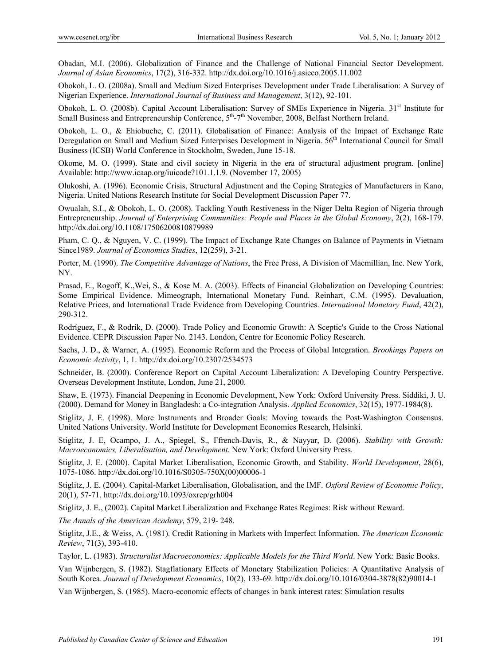Obadan, M.I. (2006). Globalization of Finance and the Challenge of National Financial Sector Development. *Journal of Asian Economics*, 17(2), 316-332. http://dx.doi.org/10.1016/j.asieco.2005.11.002

Obokoh, L. O. (2008a). Small and Medium Sized Enterprises Development under Trade Liberalisation: A Survey of Nigerian Experience. *International Journal of Business and Management*, 3(12), 92-101.

Obokoh, L. O. (2008b). Capital Account Liberalisation: Survey of SMEs Experience in Nigeria. 31<sup>st</sup> Institute for Small Business and Entrepreneurship Conference,  $5<sup>th</sup>$ -7<sup>th</sup> November, 2008, Belfast Northern Ireland.

Obokoh, L. O., & Ehiobuche, C. (2011). Globalisation of Finance: Analysis of the Impact of Exchange Rate Deregulation on Small and Medium Sized Enterprises Development in Nigeria. 56<sup>th</sup> International Council for Small Business (ICSB) World Conference in Stockholm, Sweden, June 15-18.

Okome, M. O. (1999). State and civil society in Nigeria in the era of structural adjustment program. [online] Available: http://www.icaap.org/iuicode?101.1.1.9. (November 17, 2005)

Olukoshi, A. (1996). Economic Crisis, Structural Adjustment and the Coping Strategies of Manufacturers in Kano, Nigeria. United Nations Research Institute for Social Development Discussion Paper 77.

Owualah, S.I., & Obokoh, L. O. (2008). Tackling Youth Restiveness in the Niger Delta Region of Nigeria through Entrepreneurship. *Journal of Enterprising Communities: People and Places in the Global Economy*, 2(2), 168-179. http://dx.doi.org/10.1108/17506200810879989

Pham, C. Q., & Nguyen, V. C. (1999). The Impact of Exchange Rate Changes on Balance of Payments in Vietnam Since1989. *Journal of Economics Studies*, 12(259), 3-21.

Porter, M. (1990). *The Competitive Advantage of Nations*, the Free Press, A Division of Macmillian, Inc. New York, NY.

Prasad, E., Rogoff, K.,Wei, S., & Kose M. A. (2003). Effects of Financial Globalization on Developing Countries: Some Empirical Evidence. Mimeograph, International Monetary Fund. Reinhart, C.M. (1995). Devaluation, Relative Prices, and International Trade Evidence from Developing Countries. *International Monetary Fund*, 42(2), 290-312.

Rodríguez, F., & Rodrik, D. (2000). Trade Policy and Economic Growth: A Sceptic's Guide to the Cross National Evidence. CEPR Discussion Paper No. 2143. London, Centre for Economic Policy Research.

Sachs, J. D., & Warner, A. (1995). Economic Reform and the Process of Global Integration. *Brookings Papers on Economic Activity*, 1, 1. http://dx.doi.org/10.2307/2534573

Schneider, B. (2000). Conference Report on Capital Account Liberalization: A Developing Country Perspective. Overseas Development Institute, London, June 21, 2000.

Shaw, E. (1973). Financial Deepening in Economic Development, New York: Oxford University Press. Siddiki, J. U. (2000). Demand for Money in Bangladesh: a Co-integration Analysis. *Applied Economics*, 32(15), 1977-1984(8).

Stiglitz, J. E. (1998). More Instruments and Broader Goals: Moving towards the Post-Washington Consensus. United Nations University. World Institute for Development Economics Research, Helsinki.

Stiglitz, J. E, Ocampo, J. A., Spiegel, S., Ffrench-Davis, R., & Nayyar, D. (2006). *Stability with Growth: Macroeconomics, Liberalisation, and Development.* New York: Oxford University Press.

Stiglitz, J. E. (2000). Capital Market Liberalisation, Economic Growth, and Stability. *World Development*, 28(6), 1075-1086. http://dx.doi.org/10.1016/S0305-750X(00)00006-1

Stiglitz, J. E. (2004). Capital-Market Liberalisation, Globalisation, and the IMF. *Oxford Review of Economic Policy*, 20(1), 57-71. http://dx.doi.org/10.1093/oxrep/grh004

Stiglitz, J. E., (2002). Capital Market Liberalization and Exchange Rates Regimes: Risk without Reward.

*The Annals of the American Academy*, 579, 219- 248.

Stiglitz, J.E., & Weiss, A. (1981). Credit Rationing in Markets with Imperfect Information. *The American Economic Review*, 71(3), 393-410.

Taylor, L. (1983). *Structuralist Macroeconomics: Applicable Models for the Third World*. New York: Basic Books.

Van Wijnbergen, S. (1982). Stagflationary Effects of Monetary Stabilization Policies: A Quantitative Analysis of South Korea. *Journal of Development Economics*, 10(2), 133-69. http://dx.doi.org/10.1016/0304-3878(82)90014-1

Van Wijnbergen, S. (1985). Macro-economic effects of changes in bank interest rates: Simulation results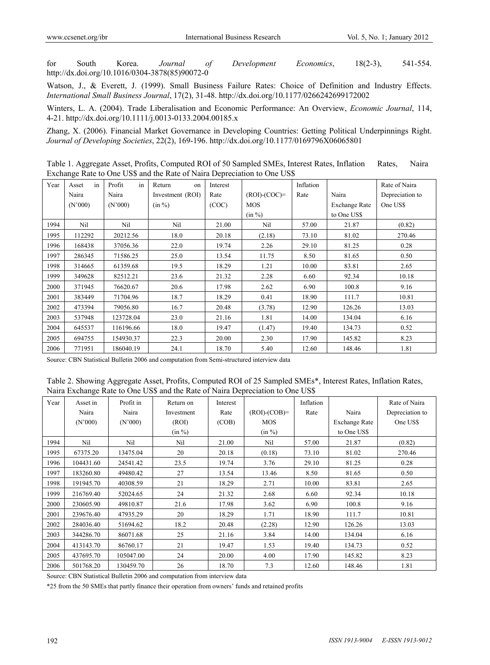for South Korea. *Journal of Development Economics*, 18(2-3), 541-554. http://dx.doi.org/10.1016/0304-3878(85)90072-0

Watson, J., & Everett, J. (1999). Small Business Failure Rates: Choice of Definition and Industry Effects. *International Small Business Journal*, 17(2), 31-48. http://dx.doi.org/10.1177/0266242699172002

Winters, L. A. (2004). Trade Liberalisation and Economic Performance: An Overview, *Economic Journal*, 114, 4-21. http://dx.doi.org/10.1111/j.0013-0133.2004.00185.x

Zhang, X. (2006). Financial Market Governance in Developing Countries: Getting Political Underpinnings Right. *Journal of Developing Societies*, 22(2), 169-196. http://dx.doi.org/10.1177/0169796X06065801

Table 1. Aggregate Asset, Profits, Computed ROI of 50 Sampled SMEs, Interest Rates, Inflation Rates, Naira Exchange Rate to One US\$ and the Rate of Naira Depreciation to One US\$

| Year | in<br>Asset | in<br>Profit | Return<br>on     | Interest |                | Inflation |                      | Rate of Naira   |
|------|-------------|--------------|------------------|----------|----------------|-----------|----------------------|-----------------|
|      | Naira       | Naira        | Investment (ROI) | Rate     | $(ROI)-(COC)=$ | Rate      | Naira                | Depreciation to |
|      | (N'000)     | (N'000)      | (in %)           | (COC)    | <b>MOS</b>     |           | <b>Exchange Rate</b> | One US\$        |
|      |             |              |                  |          | (in %)         |           | to One US\$          |                 |
| 1994 | Nil         | Nil          | Nil              | 21.00    | Nil            | 57.00     | 21.87                | (0.82)          |
| 1995 | 112292      | 20212.56     | 18.0             | 20.18    | (2.18)         | 73.10     | 81.02                | 270.46          |
| 1996 | 168438      | 37056.36     | 22.0             | 19.74    | 2.26           | 29.10     | 81.25                | 0.28            |
| 1997 | 286345      | 71586.25     | 25.0             | 13.54    | 11.75          | 8.50      | 81.65                | 0.50            |
| 1998 | 314665      | 61359.68     | 19.5             | 18.29    | 1.21           | 10.00     | 83.81                | 2.65            |
| 1999 | 349628      | 82512.21     | 23.6             | 21.32    | 2.28           | 6.60      | 92.34                | 10.18           |
| 2000 | 371945      | 76620.67     | 20.6             | 17.98    | 2.62           | 6.90      | 100.8                | 9.16            |
| 2001 | 383449      | 71704.96     | 18.7             | 18.29    | 0.41           | 18.90     | 111.7                | 10.81           |
| 2002 | 473394      | 79056.80     | 16.7             | 20.48    | (3.78)         | 12.90     | 126.26               | 13.03           |
| 2003 | 537948      | 123728.04    | 23.0             | 21.16    | 1.81           | 14.00     | 134.04               | 6.16            |
| 2004 | 645537      | 116196.66    | 18.0             | 19.47    | (1.47)         | 19.40     | 134.73               | 0.52            |
| 2005 | 694755      | 154930.37    | 22.3             | 20.00    | 2.30           | 17.90     | 145.82               | 8.23            |
| 2006 | 771951      | 186040.19    | 24.1             | 18.70    | 5.40           | 12.60     | 148.46               | 1.81            |

Source: CBN Statistical Bulletin 2006 and computation from Semi-structured interview data

| Table 2. Showing Aggregate Asset, Profits, Computed ROI of 25 Sampled SMEs*, Interest Rates, Inflation Rates, |
|---------------------------------------------------------------------------------------------------------------|
| Naira Exchange Rate to One US\$ and the Rate of Naira Depreciation to One US\$                                |

| Year | Asset in  | Profit in | Return on  | Interest |                | Inflation |                      | Rate of Naira   |
|------|-----------|-----------|------------|----------|----------------|-----------|----------------------|-----------------|
|      | Naira     | Naira     | Investment | Rate     | $(ROI)-(COB)=$ | Rate      | Naira                | Depreciation to |
|      | (N'000)   | (N'000)   | (ROI)      | (COB)    | <b>MOS</b>     |           | <b>Exchange Rate</b> | One US\$        |
|      |           |           | (in %)     |          | (in %)         |           | to One US\$          |                 |
| 1994 | Nil       | Nil       | Nil        | 21.00    | Nil            | 57.00     | 21.87                | (0.82)          |
| 1995 | 67375.20  | 13475.04  | 20         | 20.18    | (0.18)         | 73.10     | 81.02                | 270.46          |
| 1996 | 104431.60 | 24541.42  | 23.5       | 19.74    | 3.76           | 29.10     | 81.25                | 0.28            |
| 1997 | 183260.80 | 49480.42  | 27         | 13.54    | 13.46          | 8.50      | 81.65                | 0.50            |
| 1998 | 191945.70 | 40308.59  | 21         | 18.29    | 2.71           | 10.00     | 83.81                | 2.65            |
| 1999 | 216769.40 | 52024.65  | 24         | 21.32    | 2.68           | 6.60      | 92.34                | 10.18           |
| 2000 | 230605.90 | 49810.87  | 21.6       | 17.98    | 3.62           | 6.90      | 100.8                | 9.16            |
| 2001 | 239676.40 | 47935.29  | 20         | 18.29    | 1.71           | 18.90     | 111.7                | 10.81           |
| 2002 | 284036.40 | 51694.62  | 18.2       | 20.48    | (2.28)         | 12.90     | 126.26               | 13.03           |
| 2003 | 344286.70 | 86071.68  | 25         | 21.16    | 3.84           | 14.00     | 134.04               | 6.16            |
| 2004 | 413143.70 | 86760.17  | 21         | 19.47    | 1.53           | 19.40     | 134.73               | 0.52            |
| 2005 | 437695.70 | 105047.00 | 24         | 20.00    | 4.00           | 17.90     | 145.82               | 8.23            |
| 2006 | 501768.20 | 130459.70 | 26         | 18.70    | 7.3            | 12.60     | 148.46               | 1.81            |

Source: CBN Statistical Bulletin 2006 and computation from interview data

\*25 from the 50 SMEs that partly finance their operation from owners' funds and retained profits